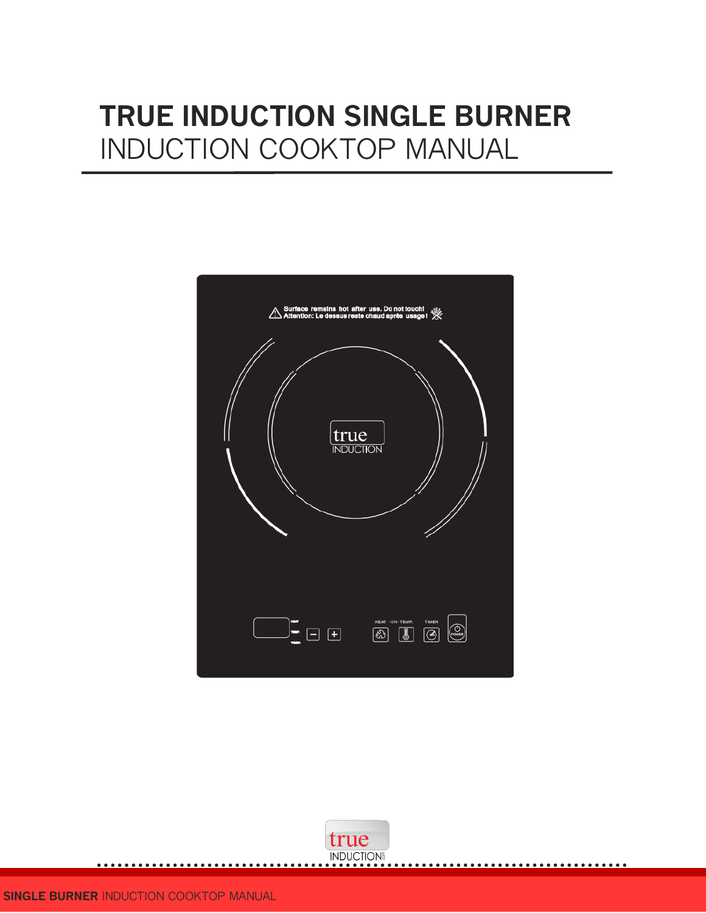## **TRUE INDUCTION SINGLE BURNER**  INDUCTION COOKTOP MANUAL



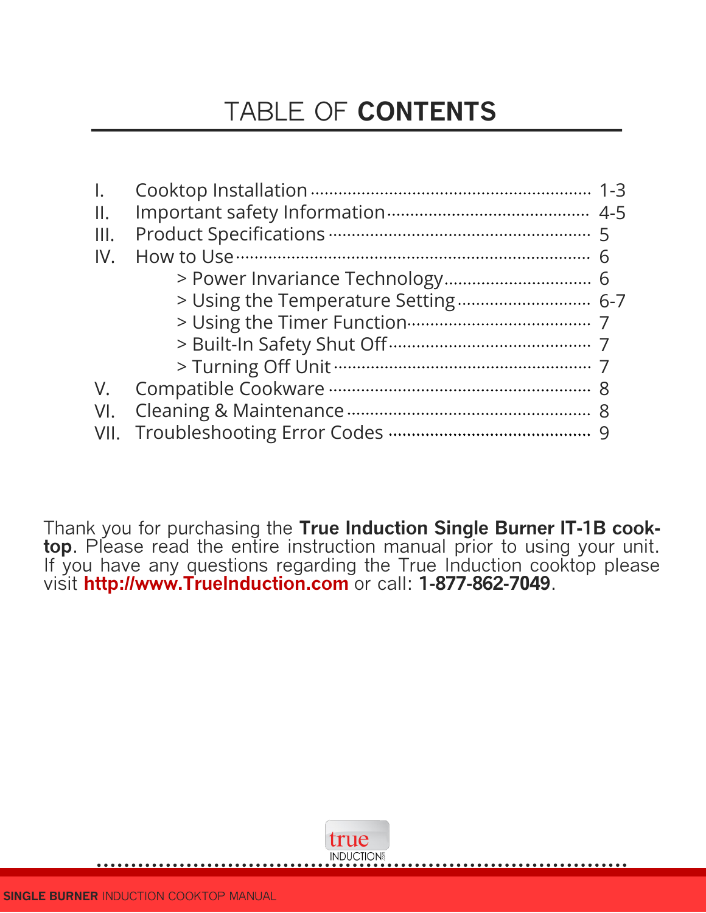## TABLE OF **CONTENTS**

| $\mathbf{II}$ . |  |
|-----------------|--|
| III.            |  |
| IV.             |  |
|                 |  |
|                 |  |
|                 |  |
|                 |  |
|                 |  |
| $V_{\cdot}$     |  |
| VI.             |  |
| VII.            |  |

Thank you for purchasing the **True Induction Single Burner IT-1B cooktop**. Please read the entire instruction manual prior to using your unit. If you have any questions regarding the True Induction cooktop please visit **http://www.Truelnduction.com** or call: **1-877-862-7049**.

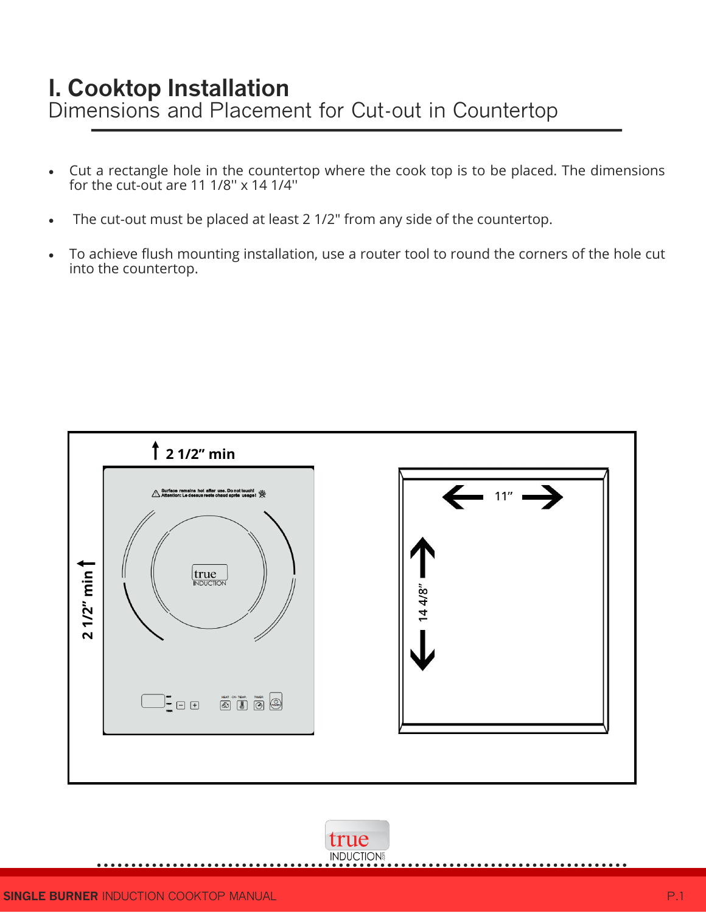### **I. Cooktop Installation** Dimensions and Placement for Cut-out in Countertop

- Cut a rectangle hole in the countertop where the cook top is to be placed. The dimensions for the cut-out are 11 1/8'' x 14 1/4''
- The cut-out must be placed at least 2 1/2" from any side of the countertop.
- To achieve flush mounting installation, use a router tool to round the corners of the hole cut into the countertop.



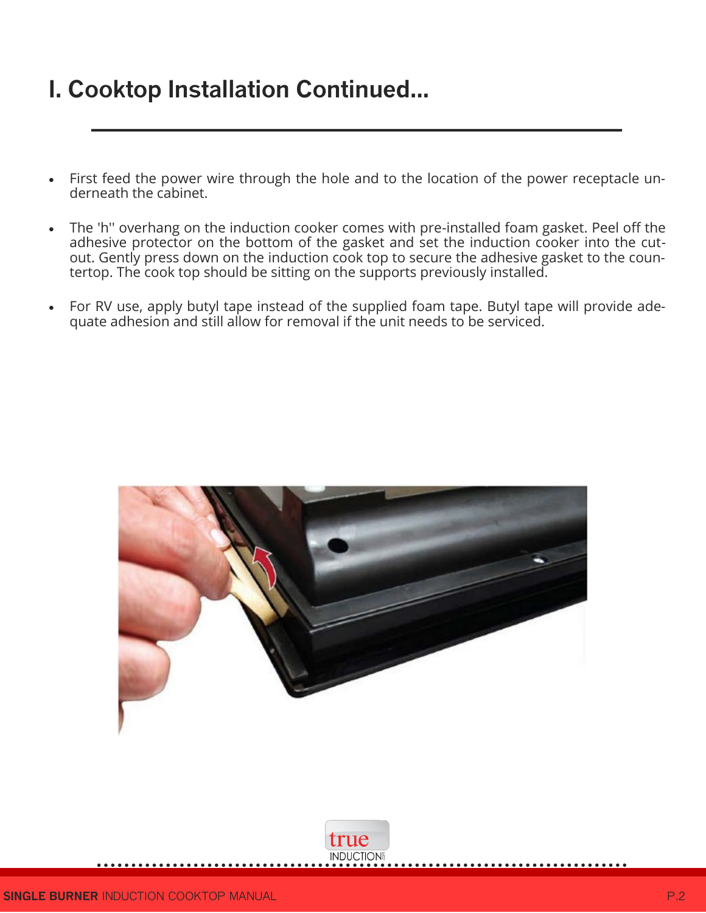## **I. Cooktop Installation Continued...**

- First feed the power wire through the hole and to the location of the power receptacle underneath the cabinet.
- The 'h'' overhang on the induction cooker comes with pre-installed foam gasket. Peel off the adhesive protector on the bottom of the gasket and set the induction cooker into the cutout. Gently press down on the induction cook top to secure the adhesive gasket to the countertop. The cook top should be sitting on the supports previously installed.
- For RV use, apply butyl tape instead of the supplied foam tape. Butyl tape will provide adequate adhesion and still allow for removal if the unit needs to be serviced.



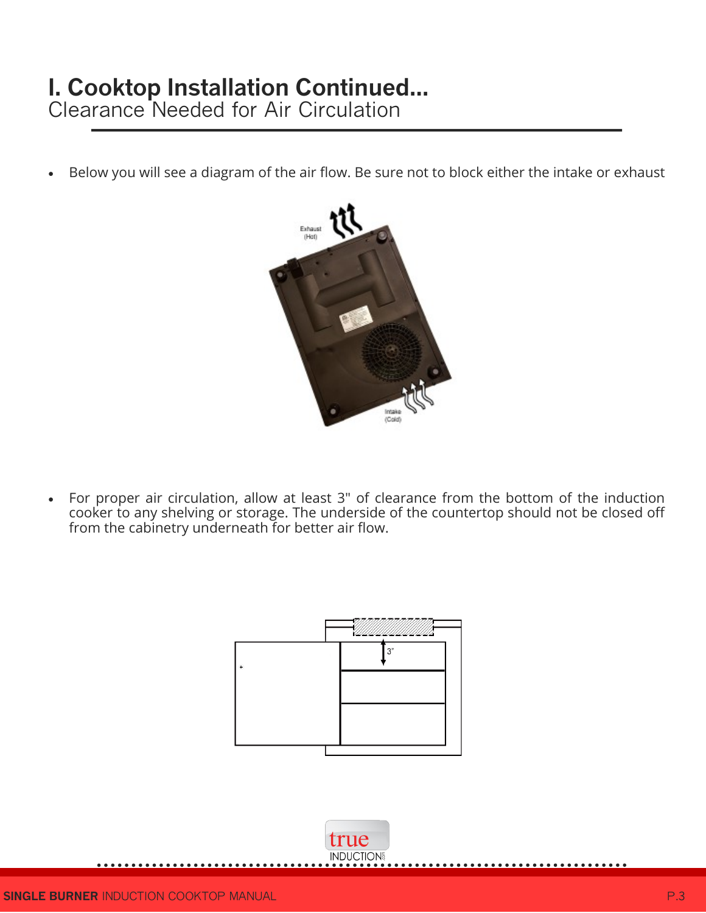## **I. Cooktop Installation Continued...**

Clearance Needed for Air Circulation

Below you will see a diagram of the air flow. Be sure not to block either the intake or exhaust



 For proper air circulation, allow at least 3" of clearance from the bottom of the induction cooker to any shelving or storage. The underside of the countertop should not be closed off from the cabinetry underneath for better air flow.



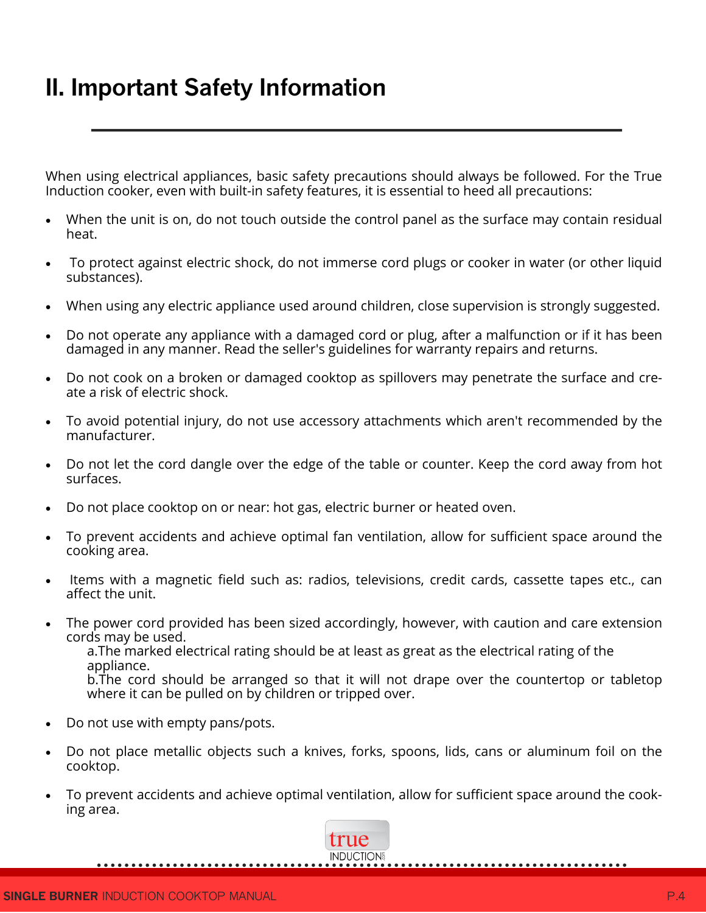## **II. Important Safety Information**

When using electrical appliances, basic safety precautions should always be followed. For the True Induction cooker, even with built-in safety features, it is essential to heed all precautions:

- When the unit is on, do not touch outside the control panel as the surface may contain residual heat.
- To protect against electric shock, do not immerse cord plugs or cooker in water (or other liquid substances).
- When using any electric appliance used around children, close supervision is strongly suggested.
- Do not operate any appliance with a damaged cord or plug, after a malfunction or if it has been damaged in any manner. Read the seller's guidelines for warranty repairs and returns.
- Do not cook on a broken or damaged cooktop as spillovers may penetrate the surface and create a risk of electric shock.
- To avoid potential injury, do not use accessory attachments which aren't recommended by the manufacturer.
- Do not let the cord dangle over the edge of the table or counter. Keep the cord away from hot surfaces.
- Do not place cooktop on or near: hot gas, electric burner or heated oven.
- To prevent accidents and achieve optimal fan ventilation, allow for sufficient space around the cooking area.
- Items with a magnetic field such as: radios, televisions, credit cards, cassette tapes etc., can affect the unit.
- The power cord provided has been sized accordingly, however, with caution and care extension cords may be used. a.The marked electrical rating should be at least as great as the electrical rating of the appliance. b.The cord should be arranged so that it will not drape over the countertop or tabletop where it can be pulled on by children or tripped over.
- Do not use with empty pans/pots.
- Do not place metallic objects such a knives, forks, spoons, lids, cans or aluminum foil on the cooktop.
- To prevent accidents and achieve optimal ventilation, allow for sufficient space around the cooking area.

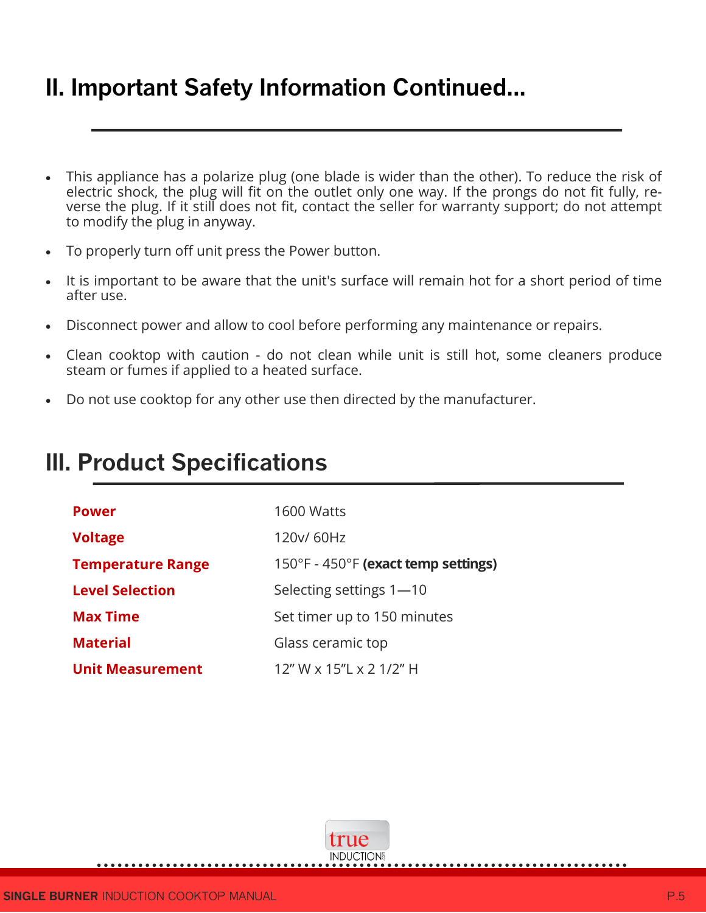## **II. Important Safety Information Continued...**

- This appliance has a polarize plug (one blade is wider than the other). To reduce the risk of electric shock, the plug will fit on the outlet only one way. If the prongs do not fit fully, reverse the plug. If it still does not fit, contact the seller for warranty support; do not attempt to modify the plug in anyway.
- To properly turn off unit press the Power button.
- It is important to be aware that the unit's surface will remain hot for a short period of time after use.
- Disconnect power and allow to cool before performing any maintenance or repairs.
- Clean cooktop with caution do not clean while unit is still hot, some cleaners produce steam or fumes if applied to a heated surface.
- Do not use cooktop for any other use then directed by the manufacturer.

| <b>Power</b>             | 1600 Watts                          |
|--------------------------|-------------------------------------|
| <b>Voltage</b>           | 120y/ 60Hz                          |
| <b>Temperature Range</b> | 150°F - 450°F (exact temp settings) |
| <b>Level Selection</b>   | Selecting settings 1-10             |
| <b>Max Time</b>          | Set timer up to 150 minutes         |
| <b>Material</b>          | Glass ceramic top                   |
| <b>Unit Measurement</b>  | 12" W x 15"L x 2 1/2" H             |

## **III. Product Specifications**

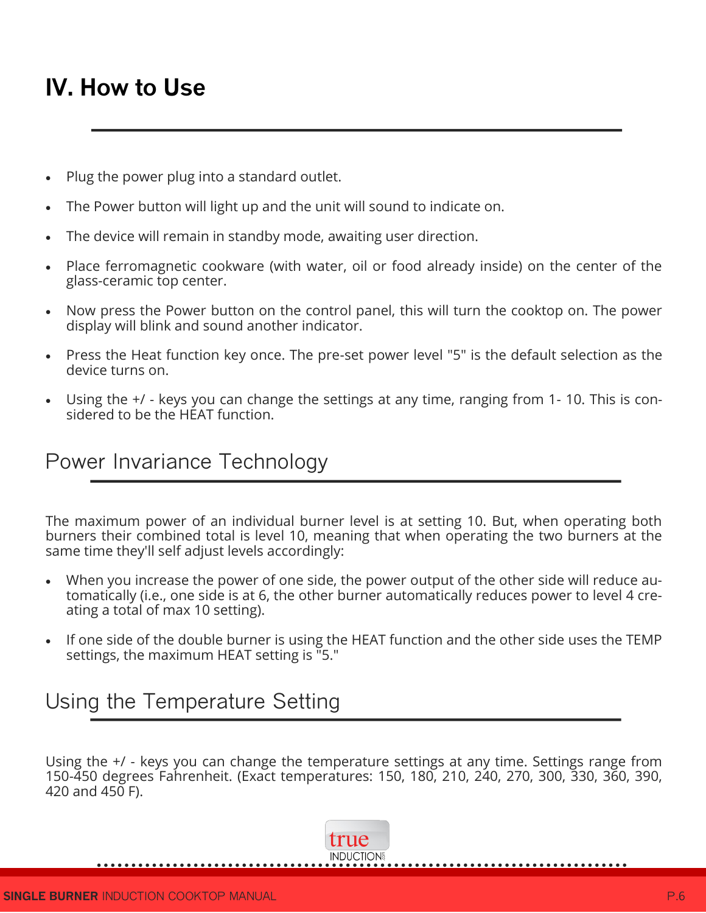## **IV. How to Use**

- Plug the power plug into a standard outlet.
- The Power button will light up and the unit will sound to indicate on.
- The device will remain in standby mode, awaiting user direction.
- Place ferromagnetic cookware (with water, oil or food already inside) on the center of the glass-ceramic top center.
- Now press the Power button on the control panel, this will turn the cooktop on. The power display will blink and sound another indicator.
- Press the Heat function key once. The pre-set power level "5" is the default selection as the device turns on.
- Using the +/ keys you can change the settings at any time, ranging from 1- 10. This is considered to be the HEAT function.

#### Power Invariance Technology

The maximum power of an individual burner level is at setting 10. But, when operating both burners their combined total is level 10, meaning that when operating the two burners at the same time they'll self adjust levels accordingly:

- When you increase the power of one side, the power output of the other side will reduce automatically (i.e., one side is at 6, the other burner automatically reduces power to level 4 creating a total of max 10 setting).
- If one side of the double burner is using the HEAT function and the other side uses the TEMP settings, the maximum HEAT setting is "5."

#### Using the Temperature Setting

Using the +/ - keys you can change the temperature settings at any time. Settings range from 150-450 degrees Fahrenheit. (Exact temperatures: 150, 180, 210, 240, 270, 300, 330, 360, 390, 420 and 450 F).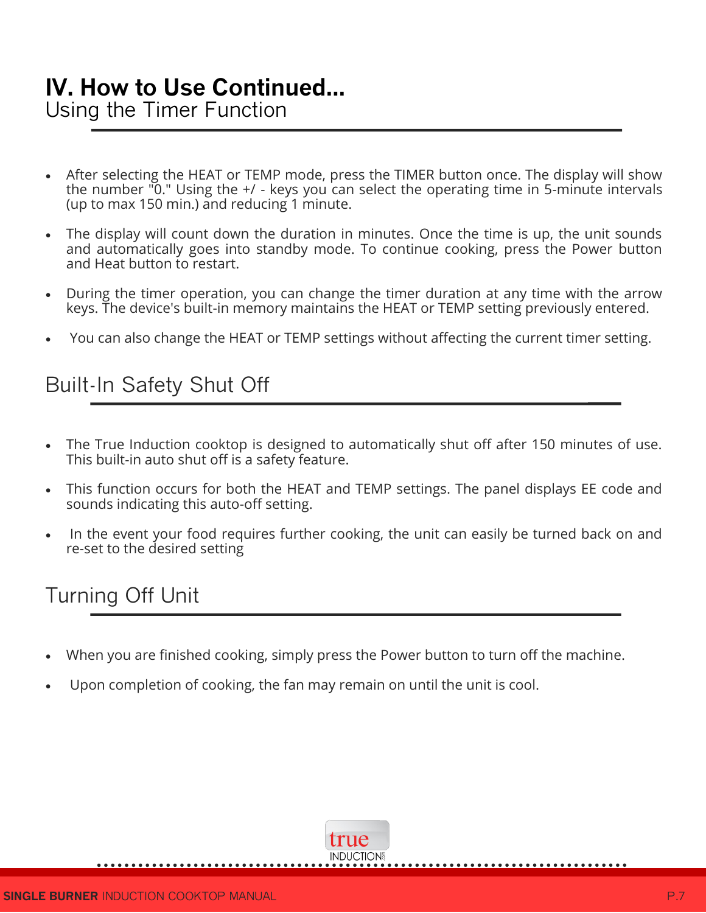# **IV. How to Use Continued...**

Using the Timer Function

- After selecting the HEAT or TEMP mode, press the TIMER button once. The display will show the number "0." Using the +/ - keys you can select the operating time in 5-minute intervals (up to max 150 min.) and reducing 1 minute.
- The display will count down the duration in minutes. Once the time is up, the unit sounds and automatically goes into standby mode. To continue cooking, press the Power button and Heat button to restart.
- During the timer operation, you can change the timer duration at any time with the arrow keys. The device's built-in memory maintains the HEAT or TEMP setting previously entered.
- You can also change the HEAT or TEMP settings without affecting the current timer setting.

### Built-In Safety Shut Off

- The True Induction cooktop is designed to automatically shut off after 150 minutes of use. This built-in auto shut off is a safety feature.
- This function occurs for both the HEAT and TEMP settings. The panel displays EE code and sounds indicating this auto-off setting.
- In the event your food requires further cooking, the unit can easily be turned back on and re-set to the desired setting

### Turning Off Unit

- When you are finished cooking, simply press the Power button to turn off the machine.
- Upon completion of cooking, the fan may remain on until the unit is cool.

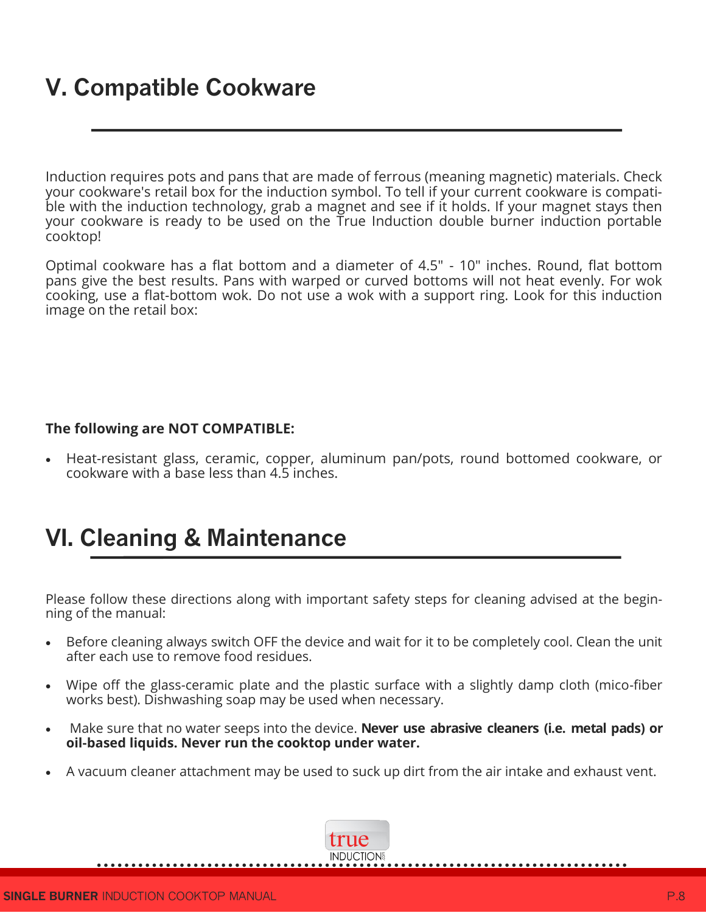## **V. Compatible Cookware**

Induction requires pots and pans that are made of ferrous (meaning magnetic) materials. Check your cookware's retail box for the induction symbol. To tell if your current cookware is compatible with the induction technology, grab a magnet and see if it holds. If your magnet stays then your cookware is ready to be used on the True Induction double burner induction portable cooktop!

Optimal cookware has a flat bottom and a diameter of 4.5" - 10" inches. Round, flat bottom pans give the best results. Pans with warped or curved bottoms will not heat evenly. For wok cooking, use a flat-bottom wok. Do not use a wok with a support ring. Look for this induction image on the retail box:

#### **The following are NOT COMPATIBLE:**

 Heat-resistant glass, ceramic, copper, aluminum pan/pots, round bottomed cookware, or cookware with a base less than 4.5 inches.

## **VI. Cleaning & Maintenance**

Please follow these directions along with important safety steps for cleaning advised at the beginning of the manual:

- Before cleaning always switch OFF the device and wait for it to be completely cool. Clean the unit after each use to remove food residues.
- Wipe off the glass-ceramic plate and the plastic surface with a slightly damp cloth (mico-fiber works best). Dishwashing soap may be used when necessary.
- Make sure that no water seeps into the device. **Never use abrasive cleaners (i.e. metal pads) or oil-based liquids. Never run the cooktop under water.**
- A vacuum cleaner attachment may be used to suck up dirt from the air intake and exhaust vent.

true **INDUCTION**